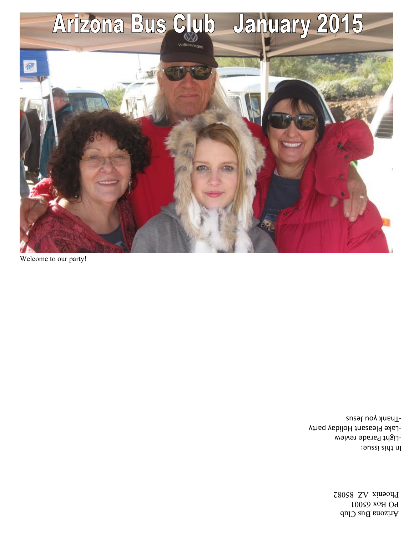Arizona Bus Club PO Box 65001 Phoenix AZ 85082

In this issue: -Light Parade review -Lake Pleasant Holiday party -Thank you Jesus

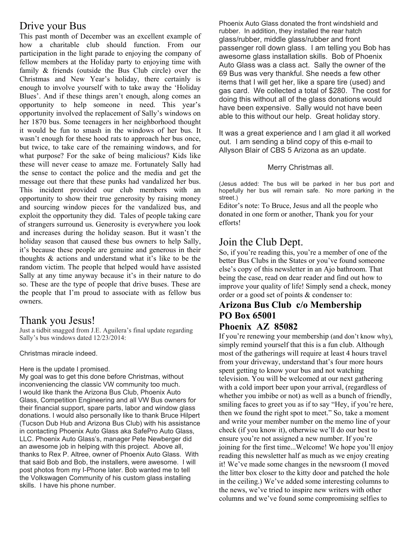## Drive your Bus

This past month of December was an excellent example of how a charitable club should function. From our participation in the light parade to enjoying the company of fellow members at the Holiday party to enjoying time with family & friends (outside the Bus Club circle) over the Christmas and New Year's holiday, there certainly is enough to involve yourself with to take away the 'Holiday Blues'. And if these things aren't enough, along comes an opportunity to help someone in need. This year's opportunity involved the replacement of Sally's windows on her 1870 bus. Some teenagers in her neighborhood thought it would be fun to smash in the windows of her bus. It wasn't enough for these hood rats to approach her bus once, but twice, to take care of the remaining windows, and for what purpose? For the sake of being malicious? Kids like these will never cease to amaze me. Fortunately Sally had the sense to contact the police and the media and get the message out there that these punks had vandalized her bus. This incident provided our club members with an opportunity to show their true generosity by raising money and sourcing window pieces for the vandalized bus, and exploit the opportunity they did. Tales of people taking care of strangers surround us. Generosity is everywhere you look and increases during the holiday season. But it wasn't the holiday season that caused these bus owners to help Sally, it's because these people are genuine and generous in their thoughts & actions and understand what it's like to be the random victim. The people that helped would have assisted Sally at any time anyway because it's in their nature to do so. These are the type of people that drive buses. These are the people that I'm proud to associate with as fellow bus owners.

## Thank you Jesus!

Just a tidbit snagged from J.E. Aguilera's final update regarding Sally's bus windows dated 12/23/2014:

Christmas miracle indeed.

#### Here is the update I promised.

My goal was to get this done before Christmas, without inconveniencing the classic VW community too much. I would like thank the Arizona Bus Club, Phoenix Auto Glass, Competition Engineering and all VW Bus owners for their financial support, spare parts, labor and window glass donations. I would also personally like to thank Bruce Hilpert (Tucson Dub Hub and Arizona Bus Club) with his assistance in contacting Phoenix Auto Glass aka SafePro Auto Glass, LLC. Phoenix Auto Glass's, manager Pete Newberger did an awesome job in helping with this project. Above all, thanks to Rex P. Altree, owner of Phoenix Auto Glass. With that said Bob and Bob, the installers, were awesome. I will post photos from my I-Phone later. Bob wanted me to tell the Volkswagen Community of his custom glass installing skills. I have his phone number.

Phoenix Auto Glass donated the front windshield and rubber. In addition, they installed the rear hatch glass/rubber, middle glass/rubber and front passenger roll down glass. I am telling you Bob has awesome glass installation skills. Bob of Phoenix Auto Glass was a class act. Sally the owner of the 69 Bus was very thankful. She needs a few other items that I will get her, like a spare tire (used) and gas card. We collected a total of \$280. The cost for doing this without all of the glass donations would have been expensive. Sally would not have been able to this without our help. Great holiday story.

It was a great experience and I am glad it all worked out. I am sending a blind copy of this e-mail to Allyson Blair of CBS 5 Arizona as an update.

#### Merry Christmas all.

(Jesus added: The bus will be parked in her bus port and hopefully her bus will remain safe. No more parking in the street.)

Editor's note: To Bruce, Jesus and all the people who donated in one form or another, Thank you for your efforts!

## Join the Club Dept.

So, if you're reading this, you're a member of one of the better Bus Clubs in the States or you've found someone else's copy of this newsletter in an Ajo bathroom. That being the case, read on dear reader and find out how to improve your quality of life! Simply send a check, money order or a good set of points & condenser to:

## **Arizona Bus Club c/o Membership PO Box 65001**

### **Phoenix AZ 85082**

If you're renewing your membership (and don't know why), simply remind yourself that this is a fun club. Although most of the gatherings will require at least 4 hours travel from your driveway, understand that's four more hours spent getting to know your bus and not watching television. You will be welcomed at our next gathering with a cold import beer upon your arrival, (regardless of whether you imbibe or not) as well as a bunch of friendly, smiling faces to greet you as if to say "Hey, if you're here, then we found the right spot to meet." So, take a moment and write your member number on the memo line of your check (if you know it), otherwise we'll do our best to ensure you're not assigned a new number. If you're joining for the first time...Welcome! We hope you'll enjoy reading this newsletter half as much as we enjoy creating it! We've made some changes in the newsroom (I moved the litter box closer to the kitty door and patched the hole in the ceiling.) We've added some interesting columns to the news, we've tried to inspire new writers with other columns and we've found some compromising selfies to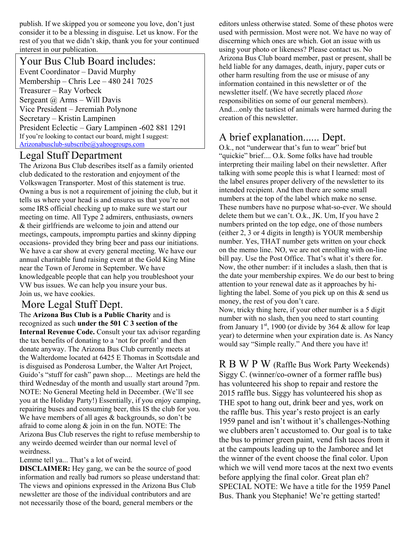publish. If we skipped you or someone you love, don't just consider it to be a blessing in disguise. Let us know. For the rest of you that we didn't skip, thank you for your continued interest in our publication.

### Your Bus Club Board includes:

Event Coordinator – David Murphy Membership – Chris Lee – 480 241 7025 Treasurer – Ray Vorbeck Sergeant @ Arms - Will Davis Vice President – Jeremiah Polynone Secretary – Kristin Lampinen President Eclectic – Gary Lampinen -602 881 1291 If you're looking to contact our board, might I suggest: Arizonabusclub-subscribe@yahoogroups.com

### Legal Stuff Department

The Arizona Bus Club describes itself as a family oriented club dedicated to the restoration and enjoyment of the Volkswagen Transporter. Most of this statement is true. Owning a bus is not a requirement of joining the club, but it tells us where your head is and ensures us that you're not some IRS official checking up to make sure we start our meeting on time. All Type 2 admirers, enthusiasts, owners & their girlfriends are welcome to join and attend our meetings, campouts, impromptu parties and skinny dipping occasions- provided they bring beer and pass our initiations. We have a car show at every general meeting. We have our annual charitable fund raising event at the Gold King Mine near the Town of Jerome in September. We have knowledgeable people that can help you troubleshoot your VW bus issues. We can help you insure your bus. Join us, we have cookies.

## More Legal Stuff Dept.

The **Arizona Bus Club is a Public Charity** and is recognized as such **under the 501 C 3 section of the Internal Revenue Code.** Consult your tax advisor regarding the tax benefits of donating to a 'not for profit' and then donate anyway. The Arizona Bus Club currently meets at the Walterdome located at 6425 E Thomas in Scottsdale and is disguised as Ponderosa Lumber, the Walter Art Project, Guido's "stuff for cash" pawn shop.... Meetings are held the third Wednesday of the month and usually start around 7pm. NOTE: No General Meeting held in December. (We'll see you at the Holiday Party!) Essentially, if you enjoy camping, repairing buses and consuming beer, this IS the club for you. We have members of all ages & backgrounds, so don't be afraid to come along  $\&$  join in on the fun. NOTE: The Arizona Bus Club reserves the right to refuse membership to any weirdo deemed weirder than our normal level of weirdness.

Lemme tell ya... That's a lot of weird.

**DISCLAIMER:** Hey gang, we can be the source of good information and really bad rumors so please understand that: The views and opinions expressed in the Arizona Bus Club newsletter are those of the individual contributors and are not necessarily those of the board, general members or the

editors unless otherwise stated. Some of these photos were used with permission. Most were not. We have no way of discerning which ones are which. Got an issue with us using your photo or likeness? Please contact us. No Arizona Bus Club board member, past or present, shall be held liable for any damages, death, injury, paper cuts or other harm resulting from the use or misuse of any information contained in this newsletter or of the newsletter itself. (We have secretly placed *those* responsibilities on some of our general members). And....only the tastiest of animals were harmed during the creation of this newsletter.

## A brief explanation...... Dept.

O.k., not "underwear that's fun to wear" brief but "quickie" brief.... O.k. Some folks have had trouble interpreting their mailing label on their newsletter. After talking with some people this is what I learned: most of the label ensures proper delivery of the newsletter to its intended recipient. And then there are some small numbers at the top of the label which make no sense. These numbers have no purpose what-so-ever. We should delete them but we can't. O.k., JK. Um, If you have 2 numbers printed on the top edge, one of those numbers (either 2, 3 or 4 digits in length) is YOUR membership number. Yes, THAT number gets written on your check on the memo line. NO, we are not enrolling with on-line bill pay. Use the Post Office. That's what it's there for. Now, the other number: if it includes a slash, then that is the date your membership expires. We do our best to bring attention to your renewal date as it approaches by hilighting the label. Some of you pick up on this & send us money, the rest of you don't care.

Now, tricky thing here, if your other number is a 5 digit number with no slash, then you need to start counting from January  $1^{st}$ , 1900 (or divide by 364 & allow for leap year) to determine when your expiration date is. As Nancy would say "Simple really." And there you have it!

R B W P W (Raffle Bus Work Party Weekends) Siggy C. (winner/co-owner of a former raffle bus) has volunteered his shop to repair and restore the 2015 raffle bus. Siggy has volunteered his shop as THE spot to hang out, drink beer and yes, work on the raffle bus. This year's resto project is an early 1959 panel and isn't without it's challenges-Nothing we clubbers aren't accustomed to. Our goal is to take the bus to primer green paint, vend fish tacos from it at the campouts leading up to the Jamboree and let the winner of the event choose the final color. Upon which we will vend more tacos at the next two events before applying the final color. Great plan eh? SPECIAL NOTE: We have a title for the 1959 Panel Bus. Thank you Stephanie! We're getting started!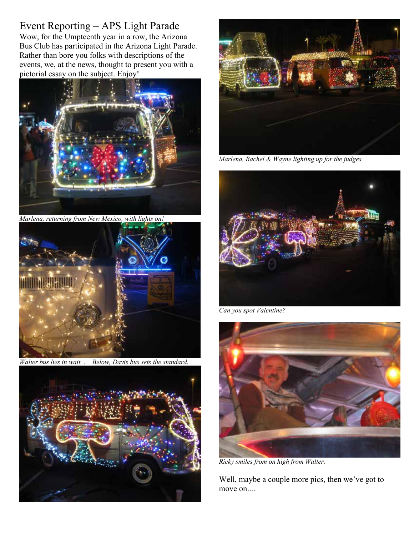# Event Reporting – APS Light Parade

Wow, for the Umpteenth year in a row, the Arizona Bus Club has participated in the Arizona Light Parade. Rather than bore you folks with descriptions of the events, we, at the news, thought to present you with a pictorial essay on the subject. Enjoy!



*Marlena, returning from New Mexico, with lights on!* 



*Walter bus lies in wait. . Below, Davis bus sets the standard.* 





*Marlena, Rachel & Wayne lighting up for the judges.* 



*Can you spot Valentine?* 



*Ricky smiles from on high from Walter.* 

Well, maybe a couple more pics, then we've got to move on....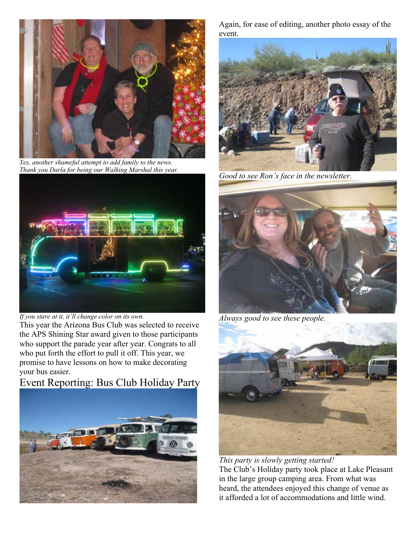

*Yes, another shameful attempt to add family to the news. Thank you Darla for being our Walking Marshal this year.* 



*If you stare at it, it'll change color on its own.* 

This year the Arizona Bus Club was selected to receive the APS Shining Star award given to those participants who support the parade year after year. Congrats to all who put forth the effort to pull it off. This year, we promise to have lessons on how to make decorating your bus easier.

# Event Reporting: Bus Club Holiday Party



Again, for ease of editing, another photo essay of the event.



*Good to see Ron's face in the newsletter.* 



*Always good to see these people.* 



*This party is slowly getting started!*  The Club's Holiday party took place at Lake Pleasant in the large group camping area. From what was heard, the attendees enjoyed this change of venue as it afforded a lot of accommodations and little wind.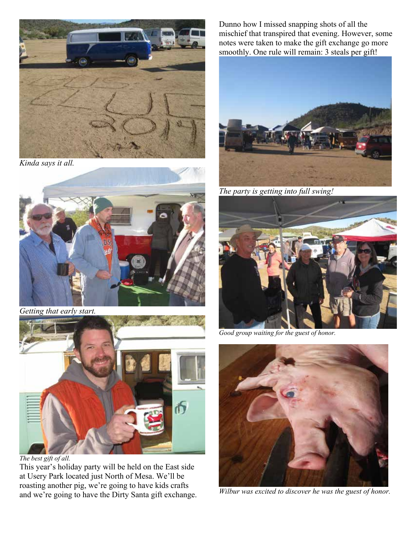

*Kinda says it all.* 





*The best gift of all.* 

This year's holiday party will be held on the East side at Usery Park located just North of Mesa. We'll be roasting another pig, we're going to have kids crafts and we're going to have the Dirty Santa gift exchange.

Dunno how I missed snapping shots of all the mischief that transpired that evening. However, some notes were taken to make the gift exchange go more smoothly. One rule will remain: 3 steals per gift!



*The party is getting into full swing!* 



*Good group waiting for the guest of honor.* 



*Wilbur was excited to discover he was the guest of honor.*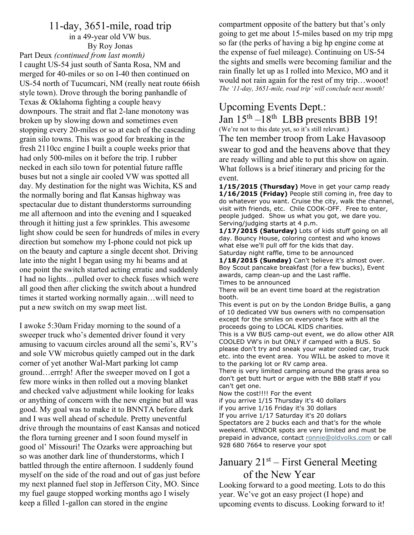## 11-day, 3651-mile, road trip

in a 49-year old VW bus. By Roy Jonas

Part Deux *(continued from last month)* I caught US-54 just south of Santa Rosa, NM and merged for 40-miles or so on I-40 then continued on US-54 north of Tucumcari, NM (really neat route 66ish style town). Drove through the boring panhandle of Texas & Oklahoma fighting a couple heavy downpours. The strait and flat 2-lane monotony was broken up by slowing down and sometimes even stopping every 20-miles or so at each of the cascading grain silo towns. This was good for breaking in the fresh 2110cc engine I built a couple weeks prior that had only 500-miles on it before the trip. I rubber necked in each silo town for potential future raffle buses but not a single air cooled VW was spotted all day. My destination for the night was Wichita, KS and the normally boring and flat Kansas highway was spectacular due to distant thunderstorms surrounding me all afternoon and into the evening and I squeaked through it hitting just a few sprinkles. This awesome light show could be seen for hundreds of miles in every direction but somehow my I-phone could not pick up on the beauty and capture a single decent shot. Driving late into the night I began using my hi beams and at one point the switch started acting erratic and suddenly I had no lights…pulled over to check fuses which were all good then after clicking the switch about a hundred times it started working normally again…will need to put a new switch on my swap meet list.

I awoke 5:30am Friday morning to the sound of a sweeper truck who's demented driver found it very amusing to vacuum circles around all the semi's, RV's and sole VW microbus quietly camped out in the dark corner of yet another Wal-Mart parking lot camp ground…errrgh! After the sweeper moved on I got a few more winks in then rolled out a moving blanket and checked valve adjustment while looking for leaks or anything of concern with the new engine but all was good. My goal was to make it to BNNTA before dark and I was well ahead of schedule. Pretty uneventful drive through the mountains of east Kansas and noticed the flora turning greener and I soon found myself in good ol' Missouri! The Ozarks were approaching but so was another dark line of thunderstorms, which I battled through the entire afternoon. I suddenly found myself on the side of the road and out of gas just before my next planned fuel stop in Jefferson City, MO. Since my fuel gauge stopped working months ago I wisely keep a filled 1-gallon can stored in the engine

compartment opposite of the battery but that's only going to get me about 15-miles based on my trip mpg so far (the perks of having a big hp engine come at the expense of fuel mileage). Continuing on US-54 the sights and smells were becoming familiar and the rain finally let up as I rolled into Mexico, MO and it would not rain again for the rest of my trip…wooot! *The '11-day, 3651-mile, road trip' will conclude next month!* 

# Upcoming Events Dept.:

# Jan  $15<sup>th</sup> - 18<sup>th</sup>$  LBB presents BBB 19!

(We're not to this date yet, so it's still relevant.)

The ten member troop from Lake Havasoop swear to god and the heavens above that they are ready willing and able to put this show on again. What follows is a brief itinerary and pricing for the event.

1/15/2015 (Thursday) Move in get your camp ready 1/16/2015 (Friday) People still coming in, free day to do whatever you want. Cruise the city, walk the channel, visit with friends, etc. Chile COOK-OFF. Free to enter, people judged. Show us what you got, we dare you. Serving/judging starts at 4 p.m.

1/17/2015 (Saturday) Lots of kids stuff going on all day. Bouncy House, coloring contest and who knows what else we'll pull off for the kids that day. Saturday night raffle, time to be announced

1/18/2015 (Sunday) Can't believe it's almost over. Boy Scout pancake breakfast (for a few bucks), Event awards, camp clean-up and the Last raffle. Times to be announced

There will be an event time board at the registration booth.

This event is put on by the London Bridge Bullis, a gang of 10 dedicated VW bus owners with no compensation except for the smiles on everyone's face with all the proceeds going to LOCAL KIDS charities.

This is a VW BUS camp-out event, we do allow other AIR COOLED VW's in but ONLY if camped with a BUS. So please don't try and sneak your water cooled car, truck etc. into the event area. You WILL be asked to move it to the parking lot or RV camp area.

There is very limited camping around the grass area so don't get butt hurt or argue with the BBB staff if you can't get one.

Now the cost!!!! For the event

if you arrive 1/15 Thursday it's 40 dollars

if you arrive 1/16 Friday it's 30 dollars

If you arrive 1/17 Saturday it's 20 dollars

Spectators are 2 bucks each and that's for the whole weekend. VENDOR spots are very limited and must be prepaid in advance, contact ronnie@oldvolks.com or call 928 680 7664 to reserve your spot

## January 21<sup>st</sup> – First General Meeting of the New Year

Looking forward to a good meeting. Lots to do this year. We've got an easy project (I hope) and upcoming events to discuss. Looking forward to it!